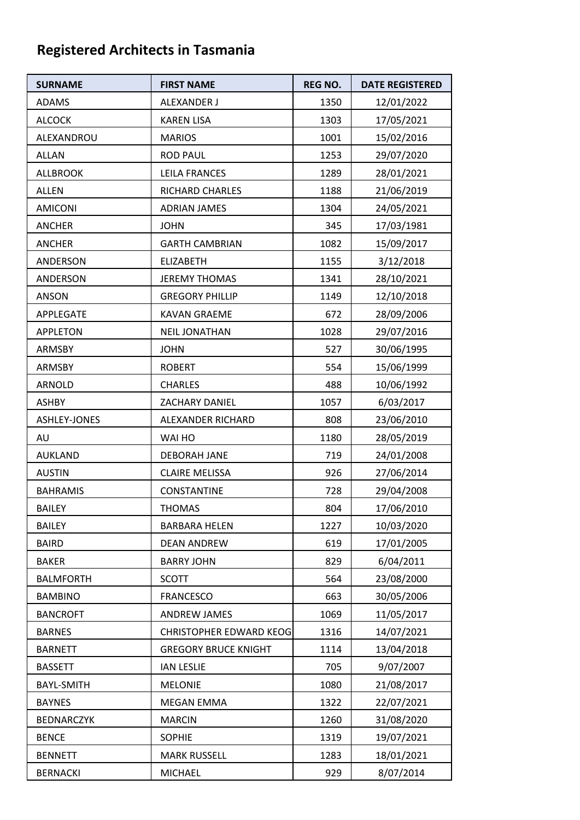## **Registered Architects in Tasmania**

| <b>SURNAME</b>    | <b>FIRST NAME</b>              | <b>REG NO.</b> | <b>DATE REGISTERED</b> |
|-------------------|--------------------------------|----------------|------------------------|
| <b>ADAMS</b>      | ALEXANDER J                    | 1350           | 12/01/2022             |
| <b>ALCOCK</b>     | <b>KAREN LISA</b>              | 1303           | 17/05/2021             |
| ALEXANDROU        | <b>MARIOS</b>                  | 1001           | 15/02/2016             |
| <b>ALLAN</b>      | <b>ROD PAUL</b>                | 1253           | 29/07/2020             |
| <b>ALLBROOK</b>   | LEILA FRANCES                  | 1289           | 28/01/2021             |
| ALLEN             | RICHARD CHARLES                | 1188           | 21/06/2019             |
| <b>AMICONI</b>    | <b>ADRIAN JAMES</b>            | 1304           | 24/05/2021             |
| <b>ANCHER</b>     | <b>JOHN</b>                    | 345            | 17/03/1981             |
| <b>ANCHER</b>     | <b>GARTH CAMBRIAN</b>          | 1082           | 15/09/2017             |
| ANDERSON          | <b>ELIZABETH</b>               | 1155           | 3/12/2018              |
| ANDERSON          | <b>JEREMY THOMAS</b>           | 1341           | 28/10/2021             |
| <b>ANSON</b>      | <b>GREGORY PHILLIP</b>         | 1149           | 12/10/2018             |
| APPLEGATE         | <b>KAVAN GRAEME</b>            | 672            | 28/09/2006             |
| <b>APPLETON</b>   | <b>NEIL JONATHAN</b>           | 1028           | 29/07/2016             |
| <b>ARMSBY</b>     | <b>JOHN</b>                    | 527            | 30/06/1995             |
| ARMSBY            | <b>ROBERT</b>                  | 554            | 15/06/1999             |
| ARNOLD            | <b>CHARLES</b>                 | 488            | 10/06/1992             |
| <b>ASHBY</b>      | ZACHARY DANIEL                 | 1057           | 6/03/2017              |
| ASHLEY-JONES      | ALEXANDER RICHARD              | 808            | 23/06/2010             |
| AU                | WAI HO                         | 1180           | 28/05/2019             |
| <b>AUKLAND</b>    | <b>DEBORAH JANE</b>            | 719            | 24/01/2008             |
| <b>AUSTIN</b>     | <b>CLAIRE MELISSA</b>          | 926            | 27/06/2014             |
| <b>BAHRAMIS</b>   | <b>CONSTANTINE</b>             | 728            | 29/04/2008             |
| BAILEY            | <b>THOMAS</b>                  | 804            | 17/06/2010             |
| <b>BAILEY</b>     | <b>BARBARA HELEN</b>           | 1227           | 10/03/2020             |
| <b>BAIRD</b>      | <b>DEAN ANDREW</b>             | 619            | 17/01/2005             |
| <b>BAKER</b>      | <b>BARRY JOHN</b>              | 829            | 6/04/2011              |
| <b>BALMFORTH</b>  | <b>SCOTT</b>                   | 564            | 23/08/2000             |
| <b>BAMBINO</b>    | <b>FRANCESCO</b>               | 663            | 30/05/2006             |
| <b>BANCROFT</b>   | <b>ANDREW JAMES</b>            | 1069           | 11/05/2017             |
| <b>BARNES</b>     | <b>CHRISTOPHER EDWARD KEOG</b> | 1316           | 14/07/2021             |
| <b>BARNETT</b>    | <b>GREGORY BRUCE KNIGHT</b>    | 1114           | 13/04/2018             |
| <b>BASSETT</b>    | <b>IAN LESLIE</b>              | 705            | 9/07/2007              |
| <b>BAYL-SMITH</b> | <b>MELONIE</b>                 | 1080           | 21/08/2017             |
| <b>BAYNES</b>     | <b>MEGAN EMMA</b>              | 1322           | 22/07/2021             |
| <b>BEDNARCZYK</b> | <b>MARCIN</b>                  | 1260           | 31/08/2020             |
| <b>BENCE</b>      | <b>SOPHIE</b>                  | 1319           | 19/07/2021             |
| <b>BENNETT</b>    | <b>MARK RUSSELL</b>            | 1283           | 18/01/2021             |
| <b>BERNACKI</b>   | <b>MICHAEL</b>                 | 929            | 8/07/2014              |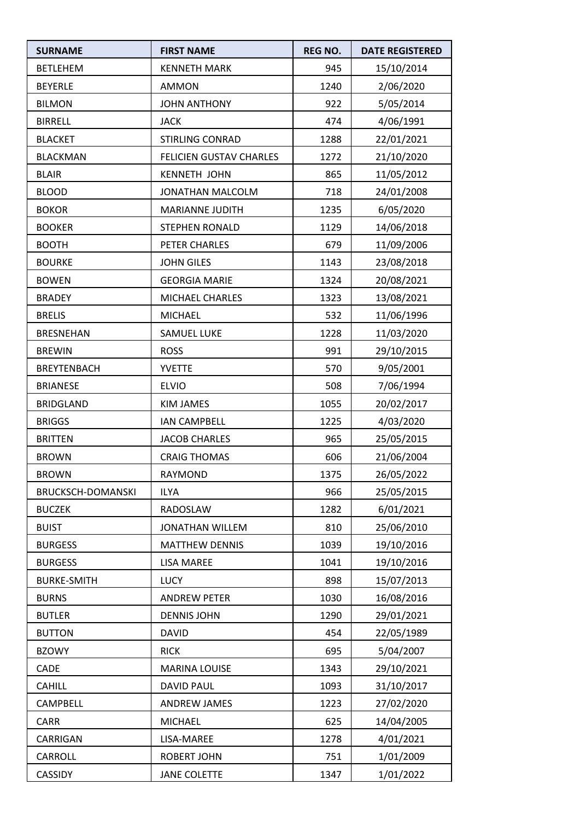| <b>SURNAME</b>     | <b>FIRST NAME</b>       | <b>REG NO.</b> | <b>DATE REGISTERED</b> |
|--------------------|-------------------------|----------------|------------------------|
| <b>BETLEHEM</b>    | <b>KENNETH MARK</b>     | 945            | 15/10/2014             |
| <b>BEYERLE</b>     | <b>AMMON</b>            | 1240           | 2/06/2020              |
| <b>BILMON</b>      | <b>JOHN ANTHONY</b>     | 922            | 5/05/2014              |
| <b>BIRRELL</b>     | <b>JACK</b>             | 474            | 4/06/1991              |
| <b>BLACKET</b>     | <b>STIRLING CONRAD</b>  | 1288           | 22/01/2021             |
| <b>BLACKMAN</b>    | FELICIEN GUSTAV CHARLES | 1272           | 21/10/2020             |
| <b>BLAIR</b>       | <b>KENNETH JOHN</b>     | 865            | 11/05/2012             |
| <b>BLOOD</b>       | JONATHAN MALCOLM        | 718            | 24/01/2008             |
| <b>BOKOR</b>       | <b>MARIANNE JUDITH</b>  | 1235           | 6/05/2020              |
| <b>BOOKER</b>      | <b>STEPHEN RONALD</b>   | 1129           | 14/06/2018             |
| <b>BOOTH</b>       | PETER CHARLES           | 679            | 11/09/2006             |
| <b>BOURKE</b>      | <b>JOHN GILES</b>       | 1143           | 23/08/2018             |
| <b>BOWEN</b>       | <b>GEORGIA MARIE</b>    | 1324           | 20/08/2021             |
| <b>BRADEY</b>      | MICHAEL CHARLES         | 1323           | 13/08/2021             |
| <b>BRELIS</b>      | <b>MICHAEL</b>          | 532            | 11/06/1996             |
| <b>BRESNEHAN</b>   | <b>SAMUEL LUKE</b>      | 1228           | 11/03/2020             |
| <b>BREWIN</b>      | <b>ROSS</b>             | 991            | 29/10/2015             |
| <b>BREYTENBACH</b> | <b>YVETTE</b>           | 570            | 9/05/2001              |
| <b>BRIANESE</b>    | <b>ELVIO</b>            | 508            | 7/06/1994              |
| <b>BRIDGLAND</b>   | KIM JAMES               | 1055           | 20/02/2017             |
| <b>BRIGGS</b>      | <b>IAN CAMPBELL</b>     | 1225           | 4/03/2020              |
| <b>BRITTEN</b>     | <b>JACOB CHARLES</b>    | 965            | 25/05/2015             |
| <b>BROWN</b>       | <b>CRAIG THOMAS</b>     | 606            | 21/06/2004             |
| <b>BROWN</b>       | RAYMOND                 | 1375           | 26/05/2022             |
| BRUCKSCH-DOMANSKI  | <b>ILYA</b>             | 966            | 25/05/2015             |
| <b>BUCZEK</b>      | RADOSLAW                | 1282           | 6/01/2021              |
| <b>BUIST</b>       | JONATHAN WILLEM         | 810            | 25/06/2010             |
| <b>BURGESS</b>     | <b>MATTHEW DENNIS</b>   | 1039           | 19/10/2016             |
| <b>BURGESS</b>     | <b>LISA MAREE</b>       | 1041           | 19/10/2016             |
| <b>BURKE-SMITH</b> | <b>LUCY</b>             | 898            | 15/07/2013             |
| <b>BURNS</b>       | <b>ANDREW PETER</b>     | 1030           | 16/08/2016             |
| <b>BUTLER</b>      | <b>DENNIS JOHN</b>      | 1290           | 29/01/2021             |
| <b>BUTTON</b>      | <b>DAVID</b>            | 454            | 22/05/1989             |
| <b>BZOWY</b>       | <b>RICK</b>             | 695            | 5/04/2007              |
| CADE               | <b>MARINA LOUISE</b>    | 1343           | 29/10/2021             |
| <b>CAHILL</b>      | <b>DAVID PAUL</b>       | 1093           | 31/10/2017             |
| CAMPBELL           | ANDREW JAMES            | 1223           | 27/02/2020             |
| <b>CARR</b>        | <b>MICHAEL</b>          | 625            | 14/04/2005             |
| CARRIGAN           | LISA-MAREE              | 1278           | 4/01/2021              |
| CARROLL            | <b>ROBERT JOHN</b>      | 751            | 1/01/2009              |
| CASSIDY            | <b>JANE COLETTE</b>     | 1347           | 1/01/2022              |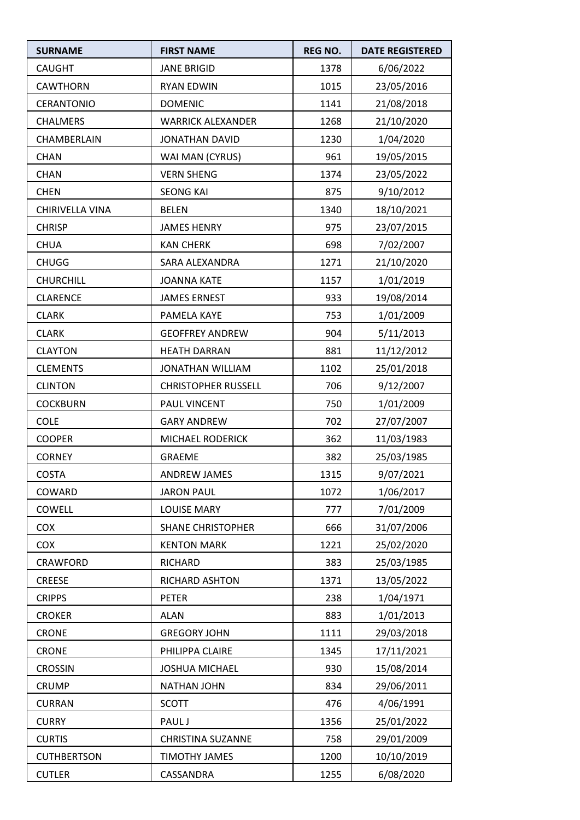| <b>SURNAME</b>     | <b>FIRST NAME</b>          | <b>REG NO.</b> | <b>DATE REGISTERED</b> |
|--------------------|----------------------------|----------------|------------------------|
| <b>CAUGHT</b>      | <b>JANE BRIGID</b>         | 1378           | 6/06/2022              |
| <b>CAWTHORN</b>    | <b>RYAN EDWIN</b>          | 1015           | 23/05/2016             |
| <b>CERANTONIO</b>  | <b>DOMENIC</b>             | 1141           | 21/08/2018             |
| <b>CHALMERS</b>    | <b>WARRICK ALEXANDER</b>   | 1268           | 21/10/2020             |
| CHAMBERLAIN        | JONATHAN DAVID             | 1230           | 1/04/2020              |
| <b>CHAN</b>        | WAI MAN (CYRUS)            | 961            | 19/05/2015             |
| <b>CHAN</b>        | <b>VERN SHENG</b>          | 1374           | 23/05/2022             |
| <b>CHEN</b>        | <b>SEONG KAI</b>           | 875            | 9/10/2012              |
| CHIRIVELLA VINA    | <b>BELEN</b>               | 1340           | 18/10/2021             |
| <b>CHRISP</b>      | <b>JAMES HENRY</b>         | 975            | 23/07/2015             |
| <b>CHUA</b>        | <b>KAN CHERK</b>           | 698            | 7/02/2007              |
| <b>CHUGG</b>       | SARA ALEXANDRA             | 1271           | 21/10/2020             |
| <b>CHURCHILL</b>   | <b>JOANNA KATE</b>         | 1157           | 1/01/2019              |
| <b>CLARENCE</b>    | <b>JAMES ERNEST</b>        | 933            | 19/08/2014             |
| <b>CLARK</b>       | PAMELA KAYE                | 753            | 1/01/2009              |
| <b>CLARK</b>       | <b>GEOFFREY ANDREW</b>     | 904            | 5/11/2013              |
| <b>CLAYTON</b>     | <b>HEATH DARRAN</b>        | 881            | 11/12/2012             |
| <b>CLEMENTS</b>    | <b>JONATHAN WILLIAM</b>    | 1102           | 25/01/2018             |
| <b>CLINTON</b>     | <b>CHRISTOPHER RUSSELL</b> | 706            | 9/12/2007              |
| <b>COCKBURN</b>    | PAUL VINCENT               | 750            | 1/01/2009              |
| <b>COLE</b>        | <b>GARY ANDREW</b>         | 702            | 27/07/2007             |
| <b>COOPER</b>      | MICHAEL RODERICK           | 362            | 11/03/1983             |
| <b>CORNEY</b>      | <b>GRAEME</b>              | 382            | 25/03/1985             |
| <b>COSTA</b>       | ANDREW JAMES               | 1315           | 9/07/2021              |
| COWARD             | <b>JARON PAUL</b>          | 1072           | 1/06/2017              |
| COWELL             | <b>LOUISE MARY</b>         | 777            | 7/01/2009              |
| COX                | <b>SHANE CHRISTOPHER</b>   | 666            | 31/07/2006             |
| <b>COX</b>         | <b>KENTON MARK</b>         | 1221           | 25/02/2020             |
| CRAWFORD           | RICHARD                    | 383            | 25/03/1985             |
| <b>CREESE</b>      | RICHARD ASHTON             | 1371           | 13/05/2022             |
| <b>CRIPPS</b>      | <b>PETER</b>               | 238            | 1/04/1971              |
| <b>CROKER</b>      | <b>ALAN</b>                | 883            | 1/01/2013              |
| <b>CRONE</b>       | <b>GREGORY JOHN</b>        | 1111           | 29/03/2018             |
| <b>CRONE</b>       | PHILIPPA CLAIRE            | 1345           | 17/11/2021             |
| <b>CROSSIN</b>     | <b>JOSHUA MICHAEL</b>      | 930            | 15/08/2014             |
| <b>CRUMP</b>       | <b>NATHAN JOHN</b>         | 834            | 29/06/2011             |
| <b>CURRAN</b>      | <b>SCOTT</b>               | 476            | 4/06/1991              |
| <b>CURRY</b>       | PAUL J                     | 1356           | 25/01/2022             |
| <b>CURTIS</b>      | <b>CHRISTINA SUZANNE</b>   | 758            | 29/01/2009             |
| <b>CUTHBERTSON</b> | TIMOTHY JAMES              | 1200           | 10/10/2019             |
| <b>CUTLER</b>      | CASSANDRA                  | 1255           | 6/08/2020              |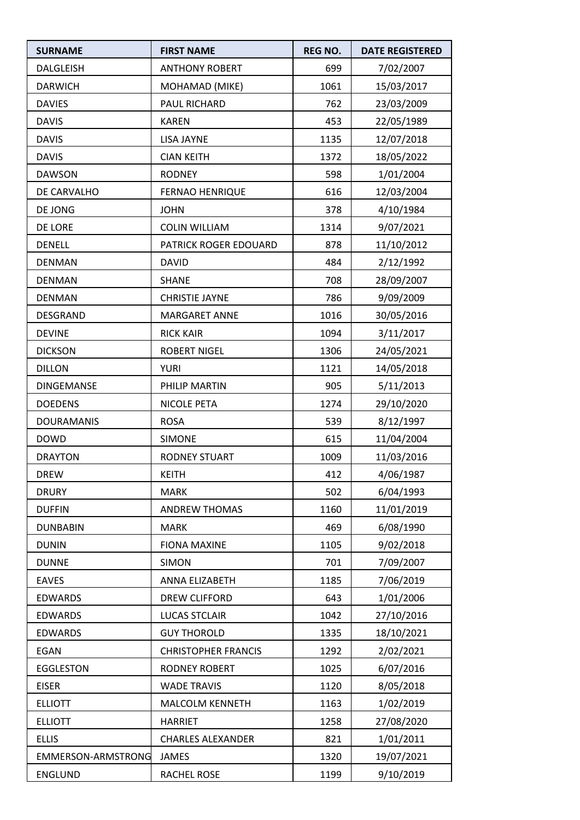| <b>SURNAME</b>     | <b>FIRST NAME</b>          | <b>REG NO.</b> | <b>DATE REGISTERED</b> |
|--------------------|----------------------------|----------------|------------------------|
| <b>DALGLEISH</b>   | <b>ANTHONY ROBERT</b>      | 699            | 7/02/2007              |
| <b>DARWICH</b>     | MOHAMAD (MIKE)             | 1061           | 15/03/2017             |
| <b>DAVIES</b>      | PAUL RICHARD               | 762            | 23/03/2009             |
| <b>DAVIS</b>       | <b>KAREN</b>               | 453            | 22/05/1989             |
| <b>DAVIS</b>       | LISA JAYNE                 | 1135           | 12/07/2018             |
| <b>DAVIS</b>       | <b>CIAN KEITH</b>          | 1372           | 18/05/2022             |
| <b>DAWSON</b>      | <b>RODNEY</b>              | 598            | 1/01/2004              |
| DE CARVALHO        | <b>FERNAO HENRIQUE</b>     | 616            | 12/03/2004             |
| DE JONG            | <b>JOHN</b>                | 378            | 4/10/1984              |
| DE LORE            | <b>COLIN WILLIAM</b>       | 1314           | 9/07/2021              |
| <b>DENELL</b>      | PATRICK ROGER EDOUARD      | 878            | 11/10/2012             |
| <b>DENMAN</b>      | <b>DAVID</b>               | 484            | 2/12/1992              |
| <b>DENMAN</b>      | <b>SHANE</b>               | 708            | 28/09/2007             |
| <b>DENMAN</b>      | <b>CHRISTIE JAYNE</b>      | 786            | 9/09/2009              |
| DESGRAND           | <b>MARGARET ANNE</b>       | 1016           | 30/05/2016             |
| <b>DEVINE</b>      | <b>RICK KAIR</b>           | 1094           | 3/11/2017              |
| <b>DICKSON</b>     | <b>ROBERT NIGEL</b>        | 1306           | 24/05/2021             |
| <b>DILLON</b>      | <b>YURI</b>                | 1121           | 14/05/2018             |
| DINGEMANSE         | PHILIP MARTIN              | 905            | 5/11/2013              |
| <b>DOEDENS</b>     | <b>NICOLE PETA</b>         | 1274           | 29/10/2020             |
| <b>DOURAMANIS</b>  | <b>ROSA</b>                | 539            | 8/12/1997              |
| <b>DOWD</b>        | <b>SIMONE</b>              | 615            | 11/04/2004             |
| <b>DRAYTON</b>     | <b>RODNEY STUART</b>       | 1009           | 11/03/2016             |
| <b>DREW</b>        | <b>KEITH</b>               | 412            | 4/06/1987              |
| <b>DRURY</b>       | <b>MARK</b>                | 502            | 6/04/1993              |
| <b>DUFFIN</b>      | <b>ANDREW THOMAS</b>       | 1160           | 11/01/2019             |
| <b>DUNBABIN</b>    | <b>MARK</b>                | 469            | 6/08/1990              |
| <b>DUNIN</b>       | <b>FIONA MAXINE</b>        | 1105           | 9/02/2018              |
| <b>DUNNE</b>       | <b>SIMON</b>               | 701            | 7/09/2007              |
| <b>EAVES</b>       | <b>ANNA ELIZABETH</b>      | 1185           | 7/06/2019              |
| <b>EDWARDS</b>     | DREW CLIFFORD              | 643            | 1/01/2006              |
| <b>EDWARDS</b>     | <b>LUCAS STCLAIR</b>       | 1042           | 27/10/2016             |
| <b>EDWARDS</b>     | <b>GUY THOROLD</b>         | 1335           | 18/10/2021             |
| EGAN               | <b>CHRISTOPHER FRANCIS</b> | 1292           | 2/02/2021              |
| EGGLESTON          | RODNEY ROBERT              | 1025           | 6/07/2016              |
| <b>EISER</b>       | <b>WADE TRAVIS</b>         | 1120           | 8/05/2018              |
| <b>ELLIOTT</b>     | MALCOLM KENNETH            | 1163           | 1/02/2019              |
| <b>ELLIOTT</b>     | <b>HARRIET</b>             | 1258           | 27/08/2020             |
| <b>ELLIS</b>       | <b>CHARLES ALEXANDER</b>   | 821            | 1/01/2011              |
| EMMERSON-ARMSTRONG | <b>JAMES</b>               | 1320           | 19/07/2021             |
| <b>ENGLUND</b>     | RACHEL ROSE                | 1199           | 9/10/2019              |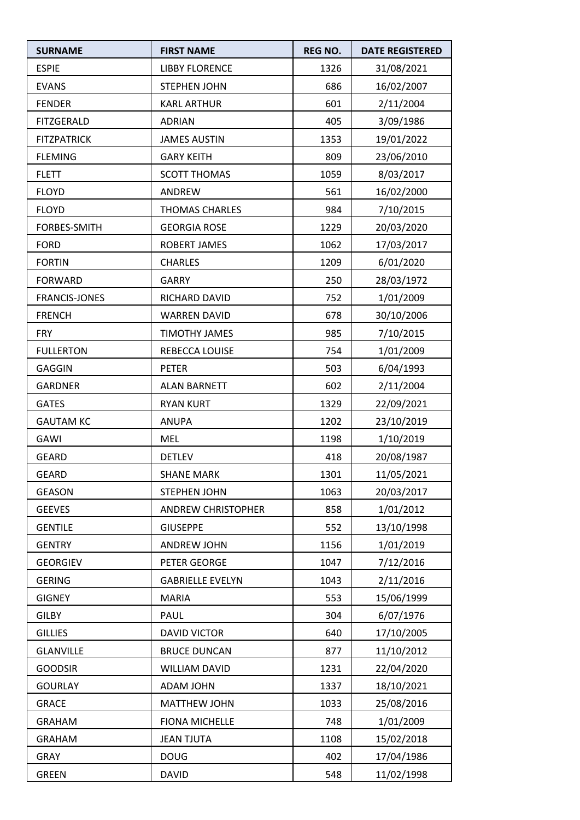| <b>SURNAME</b>       | <b>FIRST NAME</b>       | <b>REG NO.</b> | <b>DATE REGISTERED</b> |
|----------------------|-------------------------|----------------|------------------------|
| <b>ESPIE</b>         | <b>LIBBY FLORENCE</b>   | 1326           | 31/08/2021             |
| <b>EVANS</b>         | <b>STEPHEN JOHN</b>     | 686            | 16/02/2007             |
| <b>FENDER</b>        | <b>KARL ARTHUR</b>      | 601            | 2/11/2004              |
| <b>FITZGERALD</b>    | <b>ADRIAN</b>           | 405            | 3/09/1986              |
| <b>FITZPATRICK</b>   | <b>JAMES AUSTIN</b>     | 1353           | 19/01/2022             |
| <b>FLEMING</b>       | <b>GARY KEITH</b>       | 809            | 23/06/2010             |
| <b>FLETT</b>         | <b>SCOTT THOMAS</b>     | 1059           | 8/03/2017              |
| <b>FLOYD</b>         | ANDREW                  | 561            | 16/02/2000             |
| <b>FLOYD</b>         | <b>THOMAS CHARLES</b>   | 984            | 7/10/2015              |
| FORBES-SMITH         | <b>GEORGIA ROSE</b>     | 1229           | 20/03/2020             |
| <b>FORD</b>          | <b>ROBERT JAMES</b>     | 1062           | 17/03/2017             |
| <b>FORTIN</b>        | <b>CHARLES</b>          | 1209           | 6/01/2020              |
| <b>FORWARD</b>       | <b>GARRY</b>            | 250            | 28/03/1972             |
| <b>FRANCIS-JONES</b> | RICHARD DAVID           | 752            | 1/01/2009              |
| <b>FRENCH</b>        | <b>WARREN DAVID</b>     | 678            | 30/10/2006             |
| <b>FRY</b>           | <b>TIMOTHY JAMES</b>    | 985            | 7/10/2015              |
| <b>FULLERTON</b>     | REBECCA LOUISE          | 754            | 1/01/2009              |
| <b>GAGGIN</b>        | <b>PETER</b>            | 503            | 6/04/1993              |
| <b>GARDNER</b>       | <b>ALAN BARNETT</b>     | 602            | 2/11/2004              |
| <b>GATES</b>         | <b>RYAN KURT</b>        | 1329           | 22/09/2021             |
| <b>GAUTAM KC</b>     | ANUPA                   | 1202           | 23/10/2019             |
| GAWI                 | <b>MEL</b>              | 1198           | 1/10/2019              |
| <b>GEARD</b>         | <b>DETLEV</b>           | 418            | 20/08/1987             |
| <b>GEARD</b>         | <b>SHANE MARK</b>       | 1301           | 11/05/2021             |
| GEASON               | STEPHEN JOHN            | 1063           | 20/03/2017             |
| <b>GEEVES</b>        | ANDREW CHRISTOPHER      | 858            | 1/01/2012              |
| <b>GENTILE</b>       | <b>GIUSEPPE</b>         | 552            | 13/10/1998             |
| <b>GENTRY</b>        | <b>ANDREW JOHN</b>      | 1156           | 1/01/2019              |
| <b>GEORGIEV</b>      | PETER GEORGE            | 1047           | 7/12/2016              |
| <b>GERING</b>        | <b>GABRIELLE EVELYN</b> | 1043           | 2/11/2016              |
| <b>GIGNEY</b>        | <b>MARIA</b>            | 553            | 15/06/1999             |
| <b>GILBY</b>         | PAUL                    | 304            | 6/07/1976              |
| <b>GILLIES</b>       | <b>DAVID VICTOR</b>     | 640            | 17/10/2005             |
| <b>GLANVILLE</b>     | <b>BRUCE DUNCAN</b>     | 877            | 11/10/2012             |
| <b>GOODSIR</b>       | <b>WILLIAM DAVID</b>    | 1231           | 22/04/2020             |
| <b>GOURLAY</b>       | ADAM JOHN               | 1337           | 18/10/2021             |
| <b>GRACE</b>         | MATTHEW JOHN            | 1033           | 25/08/2016             |
| <b>GRAHAM</b>        | <b>FIONA MICHELLE</b>   | 748            | 1/01/2009              |
| <b>GRAHAM</b>        | <b>JEAN TJUTA</b>       | 1108           | 15/02/2018             |
| <b>GRAY</b>          | <b>DOUG</b>             | 402            | 17/04/1986             |
| <b>GREEN</b>         | <b>DAVID</b>            | 548            | 11/02/1998             |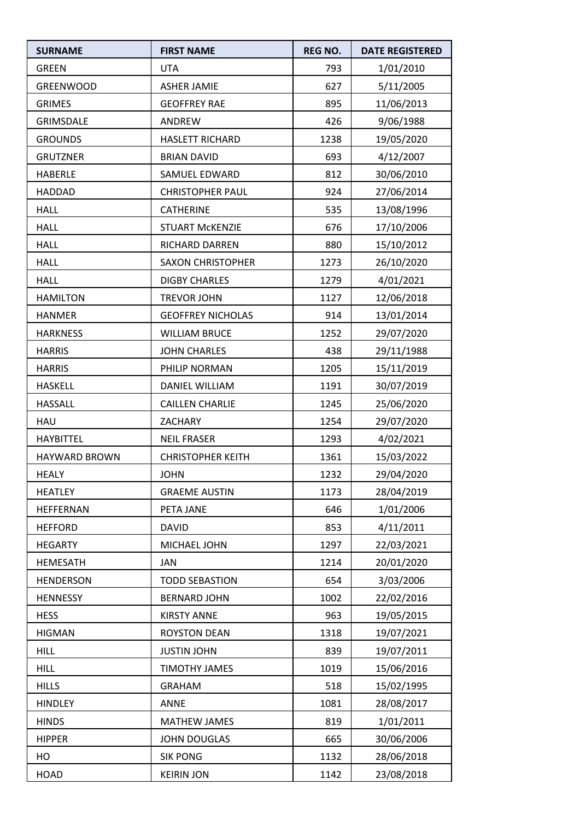| <b>SURNAME</b>       | <b>FIRST NAME</b>        | <b>REG NO.</b> | <b>DATE REGISTERED</b> |
|----------------------|--------------------------|----------------|------------------------|
| <b>GREEN</b>         | <b>UTA</b>               | 793            | 1/01/2010              |
| <b>GREENWOOD</b>     | <b>ASHER JAMIE</b>       | 627            | 5/11/2005              |
| <b>GRIMES</b>        | <b>GEOFFREY RAE</b>      | 895            | 11/06/2013             |
| GRIMSDALE            | ANDREW                   | 426            | 9/06/1988              |
| <b>GROUNDS</b>       | <b>HASLETT RICHARD</b>   | 1238           | 19/05/2020             |
| <b>GRUTZNER</b>      | <b>BRIAN DAVID</b>       | 693            | 4/12/2007              |
| HABERLE              | <b>SAMUEL EDWARD</b>     | 812            | 30/06/2010             |
| <b>HADDAD</b>        | <b>CHRISTOPHER PAUL</b>  | 924            | 27/06/2014             |
| <b>HALL</b>          | <b>CATHERINE</b>         | 535            | 13/08/1996             |
| <b>HALL</b>          | <b>STUART MCKENZIE</b>   | 676            | 17/10/2006             |
| <b>HALL</b>          | RICHARD DARREN           | 880            | 15/10/2012             |
| <b>HALL</b>          | <b>SAXON CHRISTOPHER</b> | 1273           | 26/10/2020             |
| <b>HALL</b>          | <b>DIGBY CHARLES</b>     | 1279           | 4/01/2021              |
| <b>HAMILTON</b>      | <b>TREVOR JOHN</b>       | 1127           | 12/06/2018             |
| <b>HANMER</b>        | <b>GEOFFREY NICHOLAS</b> | 914            | 13/01/2014             |
| <b>HARKNESS</b>      | <b>WILLIAM BRUCE</b>     | 1252           | 29/07/2020             |
| <b>HARRIS</b>        | <b>JOHN CHARLES</b>      | 438            | 29/11/1988             |
| <b>HARRIS</b>        | PHILIP NORMAN            | 1205           | 15/11/2019             |
| <b>HASKELL</b>       | DANIEL WILLIAM           | 1191           | 30/07/2019             |
| <b>HASSALL</b>       | <b>CAILLEN CHARLIE</b>   | 1245           | 25/06/2020             |
| HAU                  | <b>ZACHARY</b>           | 1254           | 29/07/2020             |
| <b>HAYBITTEL</b>     | <b>NEIL FRASER</b>       | 1293           | 4/02/2021              |
| <b>HAYWARD BROWN</b> | <b>CHRISTOPHER KEITH</b> | 1361           | 15/03/2022             |
| <b>HEALY</b>         | <b>JOHN</b>              | 1232           | 29/04/2020             |
| <b>HEATLEY</b>       | <b>GRAEME AUSTIN</b>     | 1173           | 28/04/2019             |
| HEFFERNAN            | PETA JANE                | 646            | 1/01/2006              |
| <b>HEFFORD</b>       | <b>DAVID</b>             | 853            | 4/11/2011              |
| <b>HEGARTY</b>       | MICHAEL JOHN             | 1297           | 22/03/2021             |
| <b>HEMESATH</b>      | JAN                      | 1214           | 20/01/2020             |
| <b>HENDERSON</b>     | <b>TODD SEBASTION</b>    | 654            | 3/03/2006              |
| <b>HENNESSY</b>      | <b>BERNARD JOHN</b>      | 1002           | 22/02/2016             |
| <b>HESS</b>          | <b>KIRSTY ANNE</b>       | 963            | 19/05/2015             |
| <b>HIGMAN</b>        | <b>ROYSTON DEAN</b>      | 1318           | 19/07/2021             |
| <b>HILL</b>          | <b>JUSTIN JOHN</b>       | 839            | 19/07/2011             |
| <b>HILL</b>          | <b>TIMOTHY JAMES</b>     | 1019           | 15/06/2016             |
| <b>HILLS</b>         | <b>GRAHAM</b>            | 518            | 15/02/1995             |
| <b>HINDLEY</b>       | <b>ANNE</b>              | 1081           | 28/08/2017             |
| <b>HINDS</b>         | <b>MATHEW JAMES</b>      | 819            | 1/01/2011              |
| <b>HIPPER</b>        | <b>JOHN DOUGLAS</b>      | 665            | 30/06/2006             |
| HO                   | <b>SIK PONG</b>          | 1132           | 28/06/2018             |
| <b>HOAD</b>          | <b>KEIRIN JON</b>        | 1142           | 23/08/2018             |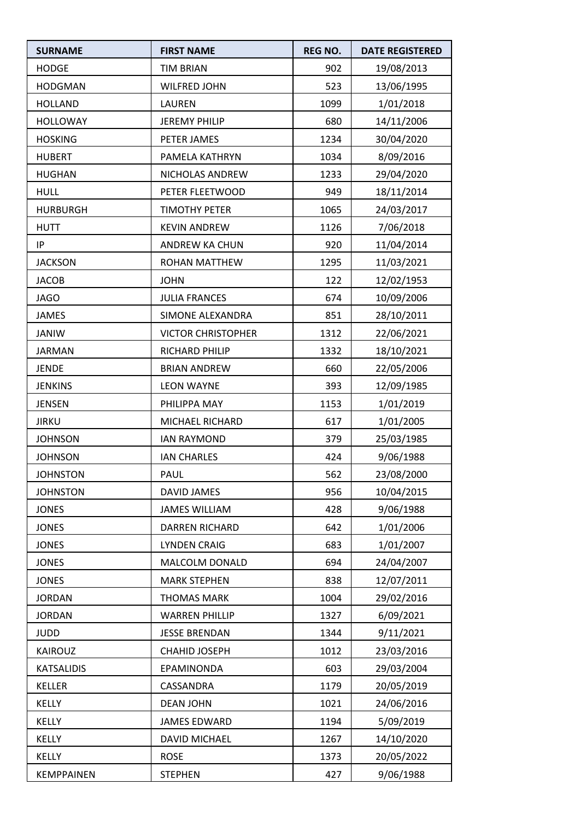| <b>SURNAME</b>    | <b>FIRST NAME</b>         | <b>REG NO.</b> | <b>DATE REGISTERED</b> |
|-------------------|---------------------------|----------------|------------------------|
| <b>HODGE</b>      | <b>TIM BRIAN</b>          | 902            | 19/08/2013             |
| <b>HODGMAN</b>    | <b>WILFRED JOHN</b>       | 523            | 13/06/1995             |
| <b>HOLLAND</b>    | <b>LAUREN</b>             | 1099           | 1/01/2018              |
| <b>HOLLOWAY</b>   | <b>JEREMY PHILIP</b>      | 680            | 14/11/2006             |
| <b>HOSKING</b>    | PETER JAMES               | 1234           | 30/04/2020             |
| <b>HUBERT</b>     | PAMELA KATHRYN            | 1034           | 8/09/2016              |
| <b>HUGHAN</b>     | NICHOLAS ANDREW           | 1233           | 29/04/2020             |
| <b>HULL</b>       | PETER FLEETWOOD           | 949            | 18/11/2014             |
| <b>HURBURGH</b>   | <b>TIMOTHY PETER</b>      | 1065           | 24/03/2017             |
| <b>HUTT</b>       | <b>KEVIN ANDREW</b>       | 1126           | 7/06/2018              |
| IP                | ANDREW KA CHUN            | 920            | 11/04/2014             |
| <b>JACKSON</b>    | ROHAN MATTHEW             | 1295           | 11/03/2021             |
| <b>JACOB</b>      | <b>JOHN</b>               | 122            | 12/02/1953             |
| <b>JAGO</b>       | <b>JULIA FRANCES</b>      | 674            | 10/09/2006             |
| <b>JAMES</b>      | SIMONE ALEXANDRA          | 851            | 28/10/2011             |
| <b>JANIW</b>      | <b>VICTOR CHRISTOPHER</b> | 1312           | 22/06/2021             |
| <b>JARMAN</b>     | RICHARD PHILIP            | 1332           | 18/10/2021             |
| <b>JENDE</b>      | <b>BRIAN ANDREW</b>       | 660            | 22/05/2006             |
| <b>JENKINS</b>    | <b>LEON WAYNE</b>         | 393            | 12/09/1985             |
| <b>JENSEN</b>     | PHILIPPA MAY              | 1153           | 1/01/2019              |
| <b>JIRKU</b>      | MICHAEL RICHARD           | 617            | 1/01/2005              |
| <b>JOHNSON</b>    | <b>IAN RAYMOND</b>        | 379            | 25/03/1985             |
| <b>JOHNSON</b>    | <b>IAN CHARLES</b>        | 424            | 9/06/1988              |
| <b>JOHNSTON</b>   | PAUL                      | 562            | 23/08/2000             |
| <b>JOHNSTON</b>   | DAVID JAMES               | 956            | 10/04/2015             |
| <b>JONES</b>      | <b>JAMES WILLIAM</b>      | 428            | 9/06/1988              |
| <b>JONES</b>      | <b>DARREN RICHARD</b>     | 642            | 1/01/2006              |
| <b>JONES</b>      | <b>LYNDEN CRAIG</b>       | 683            | 1/01/2007              |
| <b>JONES</b>      | MALCOLM DONALD            | 694            | 24/04/2007             |
| <b>JONES</b>      | <b>MARK STEPHEN</b>       | 838            | 12/07/2011             |
| <b>JORDAN</b>     | <b>THOMAS MARK</b>        | 1004           | 29/02/2016             |
| <b>JORDAN</b>     | <b>WARREN PHILLIP</b>     | 1327           | 6/09/2021              |
| <b>JUDD</b>       | <b>JESSE BRENDAN</b>      | 1344           | 9/11/2021              |
| KAIROUZ           | CHAHID JOSEPH             | 1012           | 23/03/2016             |
| <b>KATSALIDIS</b> | EPAMINONDA                | 603            | 29/03/2004             |
| <b>KELLER</b>     | CASSANDRA                 | 1179           | 20/05/2019             |
| <b>KELLY</b>      | <b>DEAN JOHN</b>          | 1021           | 24/06/2016             |
| <b>KELLY</b>      | <b>JAMES EDWARD</b>       | 1194           | 5/09/2019              |
| <b>KELLY</b>      | DAVID MICHAEL             | 1267           | 14/10/2020             |
| KELLY             | <b>ROSE</b>               | 1373           | 20/05/2022             |
| KEMPPAINEN        | <b>STEPHEN</b>            | 427            | 9/06/1988              |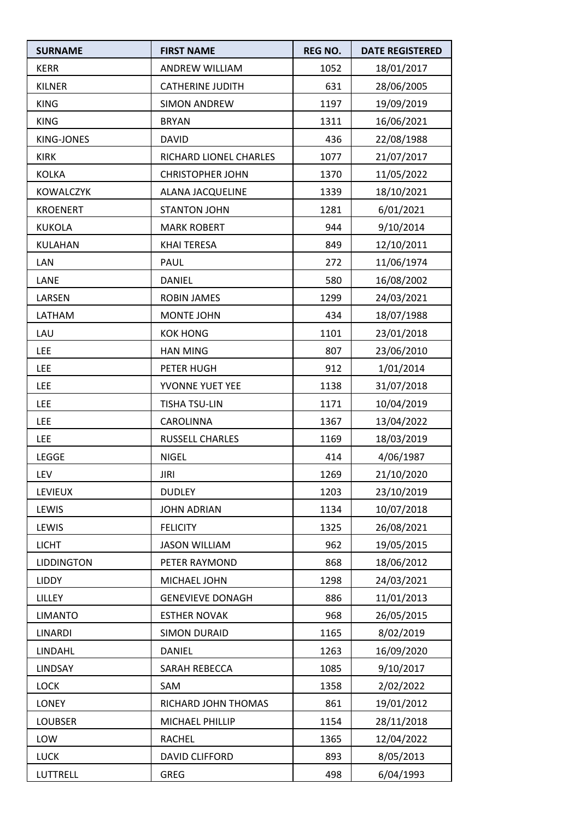| <b>SURNAME</b>    | <b>FIRST NAME</b>       | <b>REG NO.</b> | <b>DATE REGISTERED</b> |
|-------------------|-------------------------|----------------|------------------------|
| <b>KERR</b>       | ANDREW WILLIAM          | 1052           | 18/01/2017             |
| KILNER            | <b>CATHERINE JUDITH</b> | 631            | 28/06/2005             |
| <b>KING</b>       | <b>SIMON ANDREW</b>     | 1197           | 19/09/2019             |
| <b>KING</b>       | <b>BRYAN</b>            | 1311           | 16/06/2021             |
| KING-JONES        | <b>DAVID</b>            | 436            | 22/08/1988             |
| <b>KIRK</b>       | RICHARD LIONEL CHARLES  | 1077           | 21/07/2017             |
| <b>KOLKA</b>      | <b>CHRISTOPHER JOHN</b> | 1370           | 11/05/2022             |
| <b>KOWALCZYK</b>  | ALANA JACQUELINE        | 1339           | 18/10/2021             |
| <b>KROENERT</b>   | <b>STANTON JOHN</b>     | 1281           | 6/01/2021              |
| <b>KUKOLA</b>     | <b>MARK ROBERT</b>      | 944            | 9/10/2014              |
| KULAHAN           | <b>KHAI TERESA</b>      | 849            | 12/10/2011             |
| LAN               | PAUL                    | 272            | 11/06/1974             |
| LANE              | <b>DANIEL</b>           | 580            | 16/08/2002             |
| LARSEN            | <b>ROBIN JAMES</b>      | 1299           | 24/03/2021             |
| LATHAM            | MONTE JOHN              | 434            | 18/07/1988             |
| LAU               | <b>KOK HONG</b>         | 1101           | 23/01/2018             |
| <b>LEE</b>        | <b>HAN MING</b>         | 807            | 23/06/2010             |
| <b>LEE</b>        | PETER HUGH              | 912            | 1/01/2014              |
| <b>LEE</b>        | YVONNE YUET YEE         | 1138           | 31/07/2018             |
| <b>LEE</b>        | <b>TISHA TSU-LIN</b>    | 1171           | 10/04/2019             |
| <b>LEE</b>        | CAROLINNA               | 1367           | 13/04/2022             |
| <b>LEE</b>        | RUSSELL CHARLES         | 1169           | 18/03/2019             |
| LEGGE             | <b>NIGEL</b>            | 414            | 4/06/1987              |
| LEV               | JIRI                    | 1269           | 21/10/2020             |
| <b>LEVIEUX</b>    | <b>DUDLEY</b>           | 1203           | 23/10/2019             |
| LEWIS             | <b>JOHN ADRIAN</b>      | 1134           | 10/07/2018             |
| LEWIS             | <b>FELICITY</b>         | 1325           | 26/08/2021             |
| <b>LICHT</b>      | <b>JASON WILLIAM</b>    | 962            | 19/05/2015             |
| <b>LIDDINGTON</b> | PETER RAYMOND           | 868            | 18/06/2012             |
| <b>LIDDY</b>      | MICHAEL JOHN            | 1298           | 24/03/2021             |
| LILLEY            | <b>GENEVIEVE DONAGH</b> | 886            | 11/01/2013             |
| <b>LIMANTO</b>    | <b>ESTHER NOVAK</b>     | 968            | 26/05/2015             |
| <b>LINARDI</b>    | <b>SIMON DURAID</b>     | 1165           | 8/02/2019              |
| LINDAHL           | DANIEL                  | 1263           | 16/09/2020             |
| LINDSAY           | SARAH REBECCA           | 1085           | 9/10/2017              |
| LOCK              | SAM                     | 1358           | 2/02/2022              |
| LONEY             | RICHARD JOHN THOMAS     | 861            | 19/01/2012             |
| <b>LOUBSER</b>    | MICHAEL PHILLIP         | 1154           | 28/11/2018             |
| LOW               | <b>RACHEL</b>           | 1365           | 12/04/2022             |
| <b>LUCK</b>       | DAVID CLIFFORD          | 893            | 8/05/2013              |
| LUTTRELL          | <b>GREG</b>             | 498            | 6/04/1993              |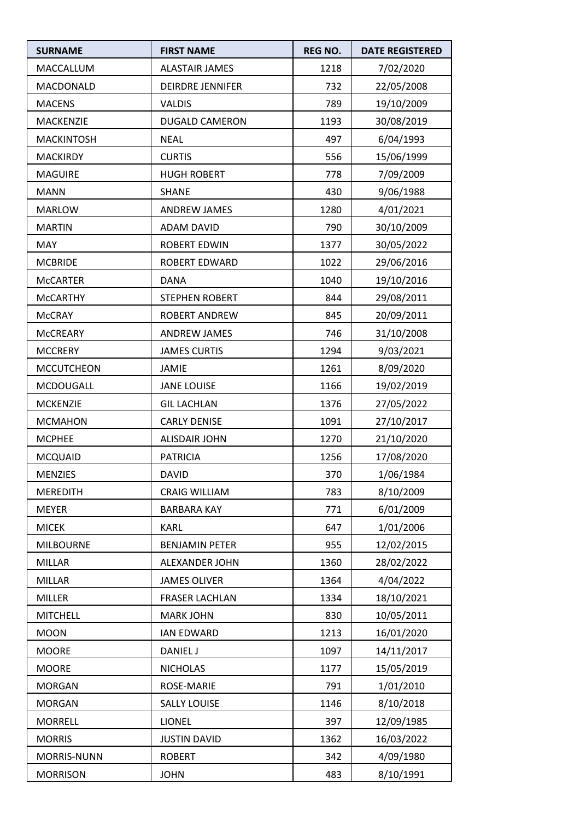| <b>SURNAME</b>    | <b>FIRST NAME</b>       | <b>REG NO.</b> | <b>DATE REGISTERED</b> |
|-------------------|-------------------------|----------------|------------------------|
| MACCALLUM         | <b>ALASTAIR JAMES</b>   | 1218           | 7/02/2020              |
| MACDONALD         | <b>DEIRDRE JENNIFER</b> | 732            | 22/05/2008             |
| <b>MACENS</b>     | <b>VALDIS</b>           | 789            | 19/10/2009             |
| MACKENZIE         | <b>DUGALD CAMERON</b>   | 1193           | 30/08/2019             |
| <b>MACKINTOSH</b> | <b>NEAL</b>             | 497            | 6/04/1993              |
| <b>MACKIRDY</b>   | <b>CURTIS</b>           | 556            | 15/06/1999             |
| <b>MAGUIRE</b>    | <b>HUGH ROBERT</b>      | 778            | 7/09/2009              |
| <b>MANN</b>       | <b>SHANE</b>            | 430            | 9/06/1988              |
| <b>MARLOW</b>     | <b>ANDREW JAMES</b>     | 1280           | 4/01/2021              |
| <b>MARTIN</b>     | <b>ADAM DAVID</b>       | 790            | 30/10/2009             |
| <b>MAY</b>        | <b>ROBERT EDWIN</b>     | 1377           | 30/05/2022             |
| <b>MCBRIDE</b>    | <b>ROBERT EDWARD</b>    | 1022           | 29/06/2016             |
| <b>McCARTER</b>   | <b>DANA</b>             | 1040           | 19/10/2016             |
| <b>McCARTHY</b>   | <b>STEPHEN ROBERT</b>   | 844            | 29/08/2011             |
| <b>McCRAY</b>     | ROBERT ANDREW           | 845            | 20/09/2011             |
| MCCREARY          | ANDREW JAMES            | 746            | 31/10/2008             |
| <b>MCCRERY</b>    | <b>JAMES CURTIS</b>     | 1294           | 9/03/2021              |
| <b>MCCUTCHEON</b> | <b>JAMIE</b>            | 1261           | 8/09/2020              |
| MCDOUGALL         | <b>JANE LOUISE</b>      | 1166           | 19/02/2019             |
| <b>MCKENZIE</b>   | <b>GIL LACHLAN</b>      | 1376           | 27/05/2022             |
| <b>MCMAHON</b>    | <b>CARLY DENISE</b>     | 1091           | 27/10/2017             |
| <b>MCPHEE</b>     | <b>ALISDAIR JOHN</b>    | 1270           | 21/10/2020             |
| <b>MCQUAID</b>    | <b>PATRICIA</b>         | 1256           | 17/08/2020             |
| MENZIES           | DAVID                   | 370            | 1/06/1984              |
| <b>MEREDITH</b>   | <b>CRAIG WILLIAM</b>    | 783            | 8/10/2009              |
| <b>MEYER</b>      | <b>BARBARA KAY</b>      | 771            | 6/01/2009              |
| <b>MICEK</b>      | <b>KARL</b>             | 647            | 1/01/2006              |
| <b>MILBOURNE</b>  | <b>BENJAMIN PETER</b>   | 955            | 12/02/2015             |
| <b>MILLAR</b>     | ALEXANDER JOHN          | 1360           | 28/02/2022             |
| <b>MILLAR</b>     | <b>JAMES OLIVER</b>     | 1364           | 4/04/2022              |
| <b>MILLER</b>     | <b>FRASER LACHLAN</b>   | 1334           | 18/10/2021             |
| <b>MITCHELL</b>   | <b>MARK JOHN</b>        | 830            | 10/05/2011             |
| <b>MOON</b>       | <b>IAN EDWARD</b>       | 1213           | 16/01/2020             |
| <b>MOORE</b>      | DANIEL J                | 1097           | 14/11/2017             |
| <b>MOORE</b>      | <b>NICHOLAS</b>         | 1177           | 15/05/2019             |
| <b>MORGAN</b>     | ROSE-MARIE              | 791            | 1/01/2010              |
| <b>MORGAN</b>     | <b>SALLY LOUISE</b>     | 1146           | 8/10/2018              |
| <b>MORRELL</b>    | <b>LIONEL</b>           | 397            | 12/09/1985             |
| <b>MORRIS</b>     | <b>JUSTIN DAVID</b>     | 1362           | 16/03/2022             |
| MORRIS-NUNN       | <b>ROBERT</b>           | 342            | 4/09/1980              |
| <b>MORRISON</b>   | <b>JOHN</b>             | 483            | 8/10/1991              |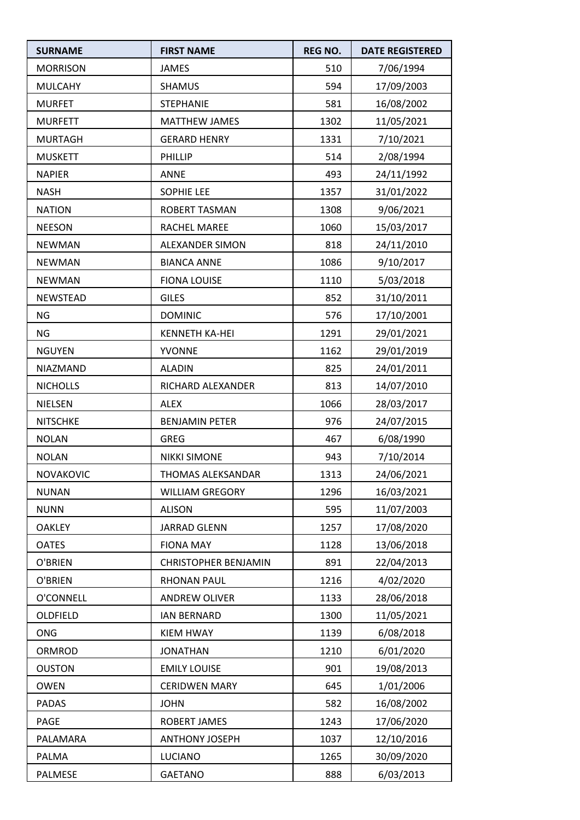| <b>SURNAME</b>   | <b>FIRST NAME</b>           | <b>REG NO.</b> | <b>DATE REGISTERED</b> |
|------------------|-----------------------------|----------------|------------------------|
| <b>MORRISON</b>  | <b>JAMES</b>                | 510            | 7/06/1994              |
| <b>MULCAHY</b>   | <b>SHAMUS</b>               | 594            | 17/09/2003             |
| <b>MURFET</b>    | <b>STEPHANIE</b>            | 581            | 16/08/2002             |
| <b>MURFETT</b>   | <b>MATTHEW JAMES</b>        | 1302           | 11/05/2021             |
| <b>MURTAGH</b>   | <b>GERARD HENRY</b>         | 1331           | 7/10/2021              |
| <b>MUSKETT</b>   | PHILLIP                     | 514            | 2/08/1994              |
| <b>NAPIER</b>    | <b>ANNE</b>                 | 493            | 24/11/1992             |
| <b>NASH</b>      | <b>SOPHIE LEE</b>           | 1357           | 31/01/2022             |
| <b>NATION</b>    | ROBERT TASMAN               | 1308           | 9/06/2021              |
| <b>NEESON</b>    | RACHEL MAREE                | 1060           | 15/03/2017             |
| <b>NEWMAN</b>    | ALEXANDER SIMON             | 818            | 24/11/2010             |
| <b>NEWMAN</b>    | <b>BIANCA ANNE</b>          | 1086           | 9/10/2017              |
| <b>NEWMAN</b>    | <b>FIONA LOUISE</b>         | 1110           | 5/03/2018              |
| <b>NEWSTEAD</b>  | <b>GILES</b>                | 852            | 31/10/2011             |
| <b>NG</b>        | <b>DOMINIC</b>              | 576            | 17/10/2001             |
| <b>NG</b>        | <b>KENNETH KA-HEI</b>       | 1291           | 29/01/2021             |
| <b>NGUYEN</b>    | <b>YVONNE</b>               | 1162           | 29/01/2019             |
| NIAZMAND         | <b>ALADIN</b>               | 825            | 24/01/2011             |
| <b>NICHOLLS</b>  | RICHARD ALEXANDER           | 813            | 14/07/2010             |
| <b>NIELSEN</b>   | <b>ALEX</b>                 | 1066           | 28/03/2017             |
| <b>NITSCHKE</b>  | <b>BENJAMIN PETER</b>       | 976            | 24/07/2015             |
| <b>NOLAN</b>     | <b>GREG</b>                 | 467            | 6/08/1990              |
| <b>NOLAN</b>     | <b>NIKKI SIMONE</b>         | 943            | 7/10/2014              |
| <b>NOVAKOVIC</b> | THOMAS ALEKSANDAR           | 1313           | 24/06/2021             |
| <b>NUNAN</b>     | <b>WILLIAM GREGORY</b>      | 1296           | 16/03/2021             |
| <b>NUNN</b>      | <b>ALISON</b>               | 595            | 11/07/2003             |
| <b>OAKLEY</b>    | <b>JARRAD GLENN</b>         | 1257           | 17/08/2020             |
| <b>OATES</b>     | <b>FIONA MAY</b>            | 1128           | 13/06/2018             |
| O'BRIEN          | <b>CHRISTOPHER BENJAMIN</b> | 891            | 22/04/2013             |
| O'BRIEN          | <b>RHONAN PAUL</b>          | 1216           | 4/02/2020              |
| O'CONNELL        | <b>ANDREW OLIVER</b>        | 1133           | 28/06/2018             |
| OLDFIELD         | <b>IAN BERNARD</b>          | 1300           | 11/05/2021             |
| <b>ONG</b>       | <b>KIEM HWAY</b>            | 1139           | 6/08/2018              |
| ORMROD           | <b>JONATHAN</b>             | 1210           | 6/01/2020              |
| <b>OUSTON</b>    | <b>EMILY LOUISE</b>         | 901            | 19/08/2013             |
| <b>OWEN</b>      | <b>CERIDWEN MARY</b>        | 645            | 1/01/2006              |
| <b>PADAS</b>     | <b>JOHN</b>                 | 582            | 16/08/2002             |
| PAGE             | <b>ROBERT JAMES</b>         | 1243           | 17/06/2020             |
| PALAMARA         | <b>ANTHONY JOSEPH</b>       | 1037           | 12/10/2016             |
| PALMA            | LUCIANO                     | 1265           | 30/09/2020             |
| PALMESE          | <b>GAETANO</b>              | 888            | 6/03/2013              |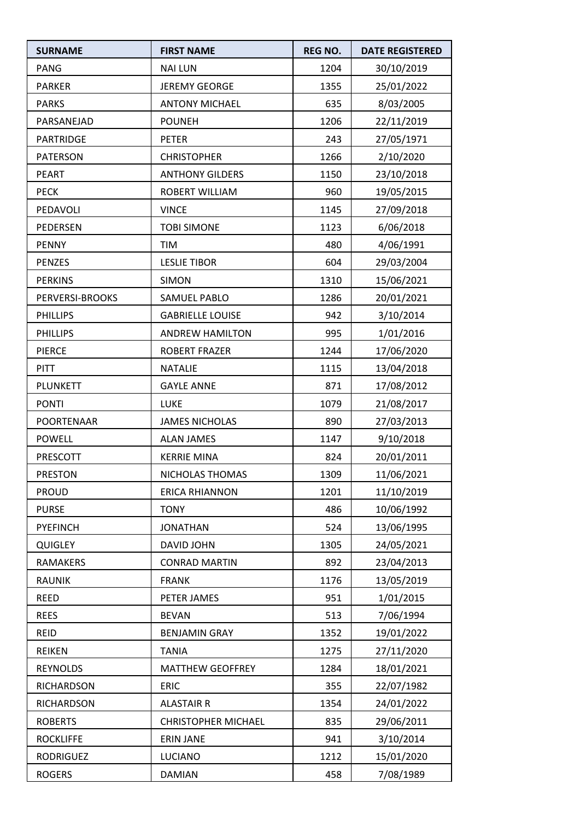| <b>SURNAME</b>    | <b>FIRST NAME</b>          | <b>REG NO.</b> | <b>DATE REGISTERED</b> |
|-------------------|----------------------------|----------------|------------------------|
| <b>PANG</b>       | <b>NAI LUN</b>             | 1204           | 30/10/2019             |
| <b>PARKER</b>     | JEREMY GEORGE              | 1355           | 25/01/2022             |
| <b>PARKS</b>      | <b>ANTONY MICHAEL</b>      | 635            | 8/03/2005              |
| PARSANEJAD        | <b>POUNEH</b>              | 1206           | 22/11/2019             |
| <b>PARTRIDGE</b>  | <b>PETER</b>               | 243            | 27/05/1971             |
| <b>PATERSON</b>   | <b>CHRISTOPHER</b>         | 1266           | 2/10/2020              |
| <b>PEART</b>      | <b>ANTHONY GILDERS</b>     | 1150           | 23/10/2018             |
| <b>PECK</b>       | ROBERT WILLIAM             | 960            | 19/05/2015             |
| PEDAVOLI          | <b>VINCE</b>               | 1145           | 27/09/2018             |
| PEDERSEN          | <b>TOBI SIMONE</b>         | 1123           | 6/06/2018              |
| <b>PENNY</b>      | <b>TIM</b>                 | 480            | 4/06/1991              |
| <b>PENZES</b>     | <b>LESLIE TIBOR</b>        | 604            | 29/03/2004             |
| <b>PERKINS</b>    | <b>SIMON</b>               | 1310           | 15/06/2021             |
| PERVERSI-BROOKS   | SAMUEL PABLO               | 1286           | 20/01/2021             |
| <b>PHILLIPS</b>   | <b>GABRIELLE LOUISE</b>    | 942            | 3/10/2014              |
| <b>PHILLIPS</b>   | <b>ANDREW HAMILTON</b>     | 995            | 1/01/2016              |
| <b>PIERCE</b>     | <b>ROBERT FRAZER</b>       | 1244           | 17/06/2020             |
| <b>PITT</b>       | <b>NATALIE</b>             | 1115           | 13/04/2018             |
| PLUNKETT          | <b>GAYLE ANNE</b>          | 871            | 17/08/2012             |
| <b>PONTI</b>      | LUKE                       | 1079           | 21/08/2017             |
| POORTENAAR        | <b>JAMES NICHOLAS</b>      | 890            | 27/03/2013             |
| <b>POWELL</b>     | <b>ALAN JAMES</b>          | 1147           | 9/10/2018              |
| PRESCOTT          | <b>KERRIE MINA</b>         | 824            | 20/01/2011             |
| PRESTON           | NICHOLAS THOMAS            | 1309           | 11/06/2021             |
| <b>PROUD</b>      | <b>ERICA RHIANNON</b>      | 1201           | 11/10/2019             |
| <b>PURSE</b>      | <b>TONY</b>                | 486            | 10/06/1992             |
| <b>PYEFINCH</b>   | <b>JONATHAN</b>            | 524            | 13/06/1995             |
| <b>QUIGLEY</b>    | DAVID JOHN                 | 1305           | 24/05/2021             |
| <b>RAMAKERS</b>   | <b>CONRAD MARTIN</b>       | 892            | 23/04/2013             |
| <b>RAUNIK</b>     | <b>FRANK</b>               | 1176           | 13/05/2019             |
| <b>REED</b>       | PETER JAMES                | 951            | 1/01/2015              |
| <b>REES</b>       | <b>BEVAN</b>               | 513            | 7/06/1994              |
| <b>REID</b>       | <b>BENJAMIN GRAY</b>       | 1352           | 19/01/2022             |
| <b>REIKEN</b>     | <b>TANIA</b>               | 1275           | 27/11/2020             |
| <b>REYNOLDS</b>   | <b>MATTHEW GEOFFREY</b>    | 1284           | 18/01/2021             |
| RICHARDSON        | <b>ERIC</b>                | 355            | 22/07/1982             |
| <b>RICHARDSON</b> | <b>ALASTAIR R</b>          | 1354           | 24/01/2022             |
| <b>ROBERTS</b>    | <b>CHRISTOPHER MICHAEL</b> | 835            | 29/06/2011             |
| <b>ROCKLIFFE</b>  | <b>ERIN JANE</b>           | 941            | 3/10/2014              |
| <b>RODRIGUEZ</b>  | LUCIANO                    | 1212           | 15/01/2020             |
| <b>ROGERS</b>     | <b>DAMIAN</b>              | 458            | 7/08/1989              |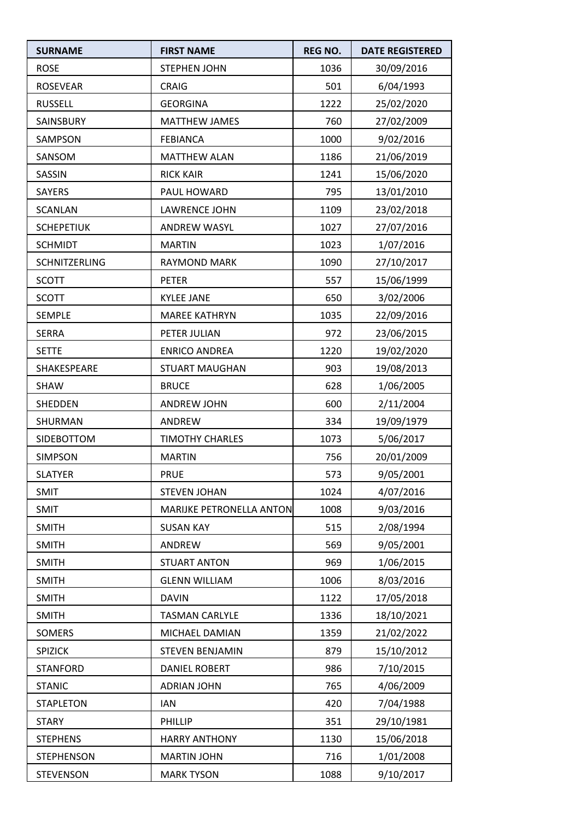| <b>SURNAME</b>    | <b>FIRST NAME</b>        | <b>REG NO.</b> | <b>DATE REGISTERED</b> |
|-------------------|--------------------------|----------------|------------------------|
| <b>ROSE</b>       | <b>STEPHEN JOHN</b>      | 1036           | 30/09/2016             |
| <b>ROSEVEAR</b>   | <b>CRAIG</b>             | 501            | 6/04/1993              |
| <b>RUSSELL</b>    | <b>GEORGINA</b>          | 1222           | 25/02/2020             |
| SAINSBURY         | <b>MATTHEW JAMES</b>     | 760            | 27/02/2009             |
| SAMPSON           | <b>FEBIANCA</b>          | 1000           | 9/02/2016              |
| SANSOM            | <b>MATTHEW ALAN</b>      | 1186           | 21/06/2019             |
| SASSIN            | <b>RICK KAIR</b>         | 1241           | 15/06/2020             |
| <b>SAYERS</b>     | PAUL HOWARD              | 795            | 13/01/2010             |
| <b>SCANLAN</b>    | <b>LAWRENCE JOHN</b>     | 1109           | 23/02/2018             |
| <b>SCHEPETIUK</b> | <b>ANDREW WASYL</b>      | 1027           | 27/07/2016             |
| <b>SCHMIDT</b>    | <b>MARTIN</b>            | 1023           | 1/07/2016              |
| SCHNITZERLING     | <b>RAYMOND MARK</b>      | 1090           | 27/10/2017             |
| <b>SCOTT</b>      | <b>PETER</b>             | 557            | 15/06/1999             |
| <b>SCOTT</b>      | <b>KYLEE JANE</b>        | 650            | 3/02/2006              |
| SEMPLE            | <b>MAREE KATHRYN</b>     | 1035           | 22/09/2016             |
| <b>SERRA</b>      | PETER JULIAN             | 972            | 23/06/2015             |
| <b>SETTE</b>      | <b>ENRICO ANDREA</b>     | 1220           | 19/02/2020             |
| SHAKESPEARE       | <b>STUART MAUGHAN</b>    | 903            | 19/08/2013             |
| <b>SHAW</b>       | <b>BRUCE</b>             | 628            | 1/06/2005              |
| SHEDDEN           | <b>ANDREW JOHN</b>       | 600            | 2/11/2004              |
| SHURMAN           | ANDREW                   | 334            | 19/09/1979             |
| SIDEBOTTOM        | <b>TIMOTHY CHARLES</b>   | 1073           | 5/06/2017              |
| <b>SIMPSON</b>    | <b>MARTIN</b>            | 756            | 20/01/2009             |
| <b>SLATYER</b>    | <b>PRUE</b>              | 573            | 9/05/2001              |
| <b>SMIT</b>       | <b>STEVEN JOHAN</b>      | 1024           | 4/07/2016              |
| SMIT              | MARIJKE PETRONELLA ANTON | 1008           | 9/03/2016              |
| <b>SMITH</b>      | <b>SUSAN KAY</b>         | 515            | 2/08/1994              |
| <b>SMITH</b>      | ANDREW                   | 569            | 9/05/2001              |
| <b>SMITH</b>      | <b>STUART ANTON</b>      | 969            | 1/06/2015              |
| <b>SMITH</b>      | <b>GLENN WILLIAM</b>     | 1006           | 8/03/2016              |
| <b>SMITH</b>      | <b>DAVIN</b>             | 1122           | 17/05/2018             |
| <b>SMITH</b>      | <b>TASMAN CARLYLE</b>    | 1336           | 18/10/2021             |
| SOMERS            | MICHAEL DAMIAN           | 1359           | 21/02/2022             |
| SPIZICK           | <b>STEVEN BENJAMIN</b>   | 879            | 15/10/2012             |
| <b>STANFORD</b>   | <b>DANIEL ROBERT</b>     | 986            | 7/10/2015              |
| <b>STANIC</b>     | <b>ADRIAN JOHN</b>       | 765            | 4/06/2009              |
| <b>STAPLETON</b>  | <b>IAN</b>               | 420            | 7/04/1988              |
| <b>STARY</b>      | PHILLIP                  | 351            | 29/10/1981             |
| <b>STEPHENS</b>   | <b>HARRY ANTHONY</b>     | 1130           | 15/06/2018             |
| <b>STEPHENSON</b> | <b>MARTIN JOHN</b>       | 716            | 1/01/2008              |
| <b>STEVENSON</b>  | <b>MARK TYSON</b>        | 1088           | 9/10/2017              |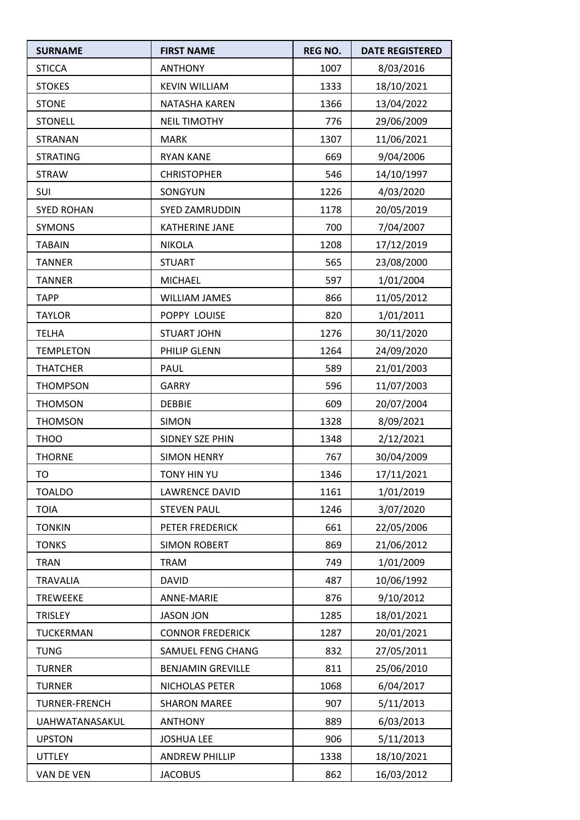| <b>SURNAME</b>       | <b>FIRST NAME</b>        | <b>REG NO.</b> | <b>DATE REGISTERED</b> |
|----------------------|--------------------------|----------------|------------------------|
| <b>STICCA</b>        | <b>ANTHONY</b>           | 1007           | 8/03/2016              |
| <b>STOKES</b>        | <b>KEVIN WILLIAM</b>     | 1333           | 18/10/2021             |
| <b>STONE</b>         | NATASHA KAREN            | 1366           | 13/04/2022             |
| <b>STONELL</b>       | <b>NEIL TIMOTHY</b>      | 776            | 29/06/2009             |
| <b>STRANAN</b>       | <b>MARK</b>              | 1307           | 11/06/2021             |
| <b>STRATING</b>      | <b>RYAN KANE</b>         | 669            | 9/04/2006              |
| <b>STRAW</b>         | <b>CHRISTOPHER</b>       | 546            | 14/10/1997             |
| SUI                  | SONGYUN                  | 1226           | 4/03/2020              |
| <b>SYED ROHAN</b>    | <b>SYED ZAMRUDDIN</b>    | 1178           | 20/05/2019             |
| <b>SYMONS</b>        | KATHERINE JANE           | 700            | 7/04/2007              |
| <b>TABAIN</b>        | <b>NIKOLA</b>            | 1208           | 17/12/2019             |
| <b>TANNER</b>        | <b>STUART</b>            | 565            | 23/08/2000             |
| <b>TANNER</b>        | <b>MICHAEL</b>           | 597            | 1/01/2004              |
| <b>TAPP</b>          | <b>WILLIAM JAMES</b>     | 866            | 11/05/2012             |
| <b>TAYLOR</b>        | POPPY LOUISE             | 820            | 1/01/2011              |
| <b>TELHA</b>         | <b>STUART JOHN</b>       | 1276           | 30/11/2020             |
| <b>TEMPLETON</b>     | PHILIP GLENN             | 1264           | 24/09/2020             |
| <b>THATCHER</b>      | PAUL                     | 589            | 21/01/2003             |
| <b>THOMPSON</b>      | <b>GARRY</b>             | 596            | 11/07/2003             |
| <b>THOMSON</b>       | <b>DEBBIE</b>            | 609            | 20/07/2004             |
| <b>THOMSON</b>       | <b>SIMON</b>             | 1328           | 8/09/2021              |
| <b>THOO</b>          | SIDNEY SZE PHIN          | 1348           | 2/12/2021              |
| <b>THORNE</b>        | <b>SIMON HENRY</b>       | 767            | 30/04/2009             |
| TO                   | TONY HIN YU              | 1346           | 17/11/2021             |
| <b>TOALDO</b>        | LAWRENCE DAVID           | 1161           | 1/01/2019              |
| <b>TOIA</b>          | <b>STEVEN PAUL</b>       | 1246           | 3/07/2020              |
| <b>TONKIN</b>        | PETER FREDERICK          | 661            | 22/05/2006             |
| <b>TONKS</b>         | <b>SIMON ROBERT</b>      | 869            | 21/06/2012             |
| <b>TRAN</b>          | <b>TRAM</b>              | 749            | 1/01/2009              |
| <b>TRAVALIA</b>      | <b>DAVID</b>             | 487            | 10/06/1992             |
| <b>TREWEEKE</b>      | <b>ANNE-MARIE</b>        | 876            | 9/10/2012              |
| <b>TRISLEY</b>       | <b>JASON JON</b>         | 1285           | 18/01/2021             |
| TUCKERMAN            | <b>CONNOR FREDERICK</b>  | 1287           | 20/01/2021             |
| <b>TUNG</b>          | SAMUEL FENG CHANG        | 832            | 27/05/2011             |
| <b>TURNER</b>        | <b>BENJAMIN GREVILLE</b> | 811            | 25/06/2010             |
| <b>TURNER</b>        | NICHOLAS PETER           | 1068           | 6/04/2017              |
| <b>TURNER-FRENCH</b> | <b>SHARON MAREE</b>      | 907            | 5/11/2013              |
| UAHWATANASAKUL       | <b>ANTHONY</b>           | 889            | 6/03/2013              |
| <b>UPSTON</b>        | <b>JOSHUA LEE</b>        | 906            | 5/11/2013              |
| <b>UTTLEY</b>        | <b>ANDREW PHILLIP</b>    | 1338           | 18/10/2021             |
| VAN DE VEN           | <b>JACOBUS</b>           | 862            | 16/03/2012             |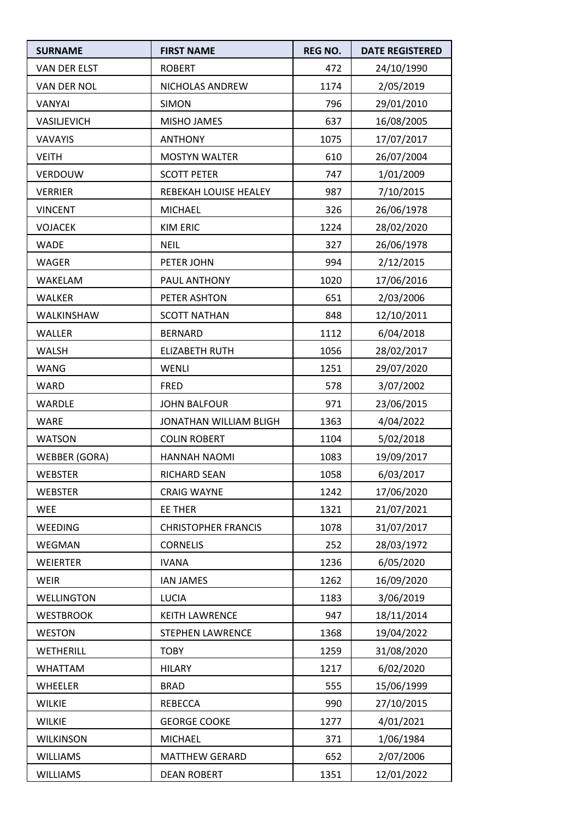| <b>SURNAME</b>       | <b>FIRST NAME</b>          | <b>REG NO.</b> | <b>DATE REGISTERED</b> |
|----------------------|----------------------------|----------------|------------------------|
| <b>VAN DER ELST</b>  | <b>ROBERT</b>              | 472            | 24/10/1990             |
| <b>VAN DER NOL</b>   | NICHOLAS ANDREW            | 1174           | 2/05/2019              |
| VANYAI               | <b>SIMON</b>               | 796            | 29/01/2010             |
| VASILJEVICH          | <b>MISHO JAMES</b>         | 637            | 16/08/2005             |
| VAVAYIS              | <b>ANTHONY</b>             | 1075           | 17/07/2017             |
| <b>VEITH</b>         | <b>MOSTYN WALTER</b>       | 610            | 26/07/2004             |
| VERDOUW              | <b>SCOTT PETER</b>         | 747            | 1/01/2009              |
| <b>VERRIER</b>       | REBEKAH LOUISE HEALEY      | 987            | 7/10/2015              |
| <b>VINCENT</b>       | <b>MICHAEL</b>             | 326            | 26/06/1978             |
| <b>VOJACEK</b>       | <b>KIM ERIC</b>            | 1224           | 28/02/2020             |
| <b>WADE</b>          | <b>NEIL</b>                | 327            | 26/06/1978             |
| <b>WAGER</b>         | PETER JOHN                 | 994            | 2/12/2015              |
| <b>WAKELAM</b>       | PAUL ANTHONY               | 1020           | 17/06/2016             |
| <b>WALKER</b>        | PETER ASHTON               | 651            | 2/03/2006              |
| WALKINSHAW           | <b>SCOTT NATHAN</b>        | 848            | 12/10/2011             |
| <b>WALLER</b>        | <b>BERNARD</b>             | 1112           | 6/04/2018              |
| <b>WALSH</b>         | <b>ELIZABETH RUTH</b>      | 1056           | 28/02/2017             |
| <b>WANG</b>          | WENLI                      | 1251           | 29/07/2020             |
| <b>WARD</b>          | <b>FRED</b>                | 578            | 3/07/2002              |
| <b>WARDLE</b>        | <b>JOHN BALFOUR</b>        | 971            | 23/06/2015             |
| <b>WARE</b>          | JONATHAN WILLIAM BLIGH     | 1363           | 4/04/2022              |
| <b>WATSON</b>        | <b>COLIN ROBERT</b>        | 1104           | 5/02/2018              |
| <b>WEBBER (GORA)</b> | HANNAH NAOMI               | 1083           | 19/09/2017             |
| <b>WEBSTER</b>       | RICHARD SEAN               | 1058           | 6/03/2017              |
| <b>WEBSTER</b>       | <b>CRAIG WAYNE</b>         | 1242           | 17/06/2020             |
| <b>WEE</b>           | EE THER                    | 1321           | 21/07/2021             |
| <b>WEEDING</b>       | <b>CHRISTOPHER FRANCIS</b> | 1078           | 31/07/2017             |
| WEGMAN               | <b>CORNELIS</b>            | 252            | 28/03/1972             |
| <b>WEIERTER</b>      | <b>IVANA</b>               | 1236           | 6/05/2020              |
| <b>WEIR</b>          | <b>IAN JAMES</b>           | 1262           | 16/09/2020             |
| WELLINGTON           | <b>LUCIA</b>               | 1183           | 3/06/2019              |
| <b>WESTBROOK</b>     | <b>KEITH LAWRENCE</b>      | 947            | 18/11/2014             |
| <b>WESTON</b>        | STEPHEN LAWRENCE           | 1368           | 19/04/2022             |
| WETHERILL            | <b>TOBY</b>                | 1259           | 31/08/2020             |
| <b>WHATTAM</b>       | <b>HILARY</b>              | 1217           | 6/02/2020              |
| WHEELER              | <b>BRAD</b>                | 555            | 15/06/1999             |
| <b>WILKIE</b>        | <b>REBECCA</b>             | 990            | 27/10/2015             |
| <b>WILKIE</b>        | <b>GEORGE COOKE</b>        | 1277           | 4/01/2021              |
| <b>WILKINSON</b>     | <b>MICHAEL</b>             | 371            | 1/06/1984              |
| <b>WILLIAMS</b>      | <b>MATTHEW GERARD</b>      | 652            | 2/07/2006              |
| <b>WILLIAMS</b>      | <b>DEAN ROBERT</b>         | 1351           | 12/01/2022             |